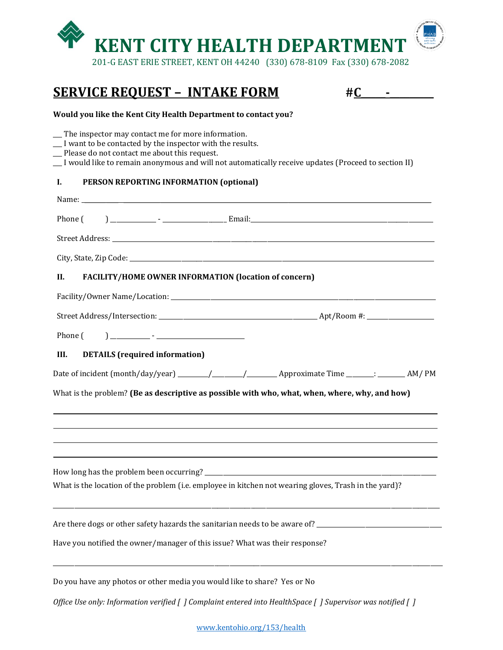

## **SERVICE REQUEST – INTAKE FORM #C\_\_\_\_\_-\_\_\_\_\_\_\_\_\_**

| -<br>⌒ |   |  |
|--------|---|--|
|        | ▄ |  |

## **Would you like the Kent City Health Department to contact you?**

 $\_\_$  The inspector may contact me for more information.

- \_\_\_ I want to be contacted by the inspector with the results.
- \_\_\_ Please do not contact me about this request.
- \_\_\_ I would like to remain anonymous and will not automatically receive updates (Proceed to section II)

## **I. PERSON REPORTING INFORMATION (optional)**

| Phone (                                                                                                                                                                                       |
|-----------------------------------------------------------------------------------------------------------------------------------------------------------------------------------------------|
|                                                                                                                                                                                               |
|                                                                                                                                                                                               |
| Н.<br><b>FACILITY/HOME OWNER INFORMATION (location of concern)</b>                                                                                                                            |
|                                                                                                                                                                                               |
|                                                                                                                                                                                               |
| Phone (                                                                                                                                                                                       |
| <b>DETAILS</b> (required information)<br>III.                                                                                                                                                 |
| What is the problem? (Be as descriptive as possible with who, what, when, where, why, and how)                                                                                                |
| What is the location of the problem (i.e. employee in kitchen not wearing gloves, Trash in the yard)?                                                                                         |
| Are there dogs or other safety hazards the sanitarian needs to be aware of? __________________________________<br>Have you notified the owner/manager of this issue? What was their response? |
| Do you have any photos or other media you would like to share? Yes or No                                                                                                                      |
| Office Use only: Information verified [] Complaint entered into HealthSpace [] Supervisor was notified []                                                                                     |